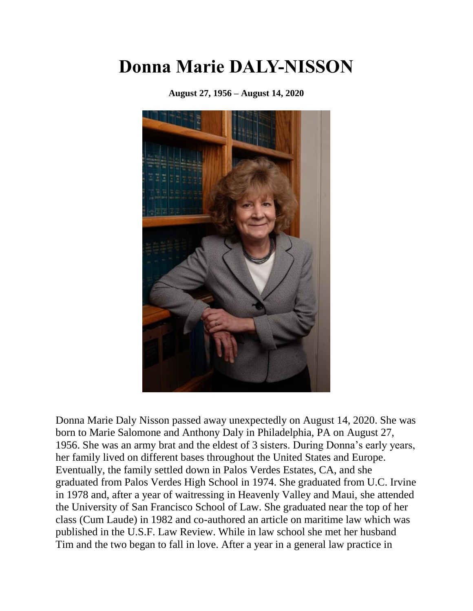## **Donna Marie DALY-NISSON**

**August 27, 1956 – August 14, 2020**



Donna Marie Daly Nisson passed away unexpectedly on August 14, 2020. She was born to Marie Salomone and Anthony Daly in Philadelphia, PA on August 27, 1956. She was an army brat and the eldest of 3 sisters. During Donna's early years, her family lived on different bases throughout the United States and Europe. Eventually, the family settled down in Palos Verdes Estates, CA, and she graduated from Palos Verdes High School in 1974. She graduated from U.C. Irvine in 1978 and, after a year of waitressing in Heavenly Valley and Maui, she attended the University of San Francisco School of Law. She graduated near the top of her class (Cum Laude) in 1982 and co-authored an article on maritime law which was published in the U.S.F. Law Review. While in law school she met her husband Tim and the two began to fall in love. After a year in a general law practice in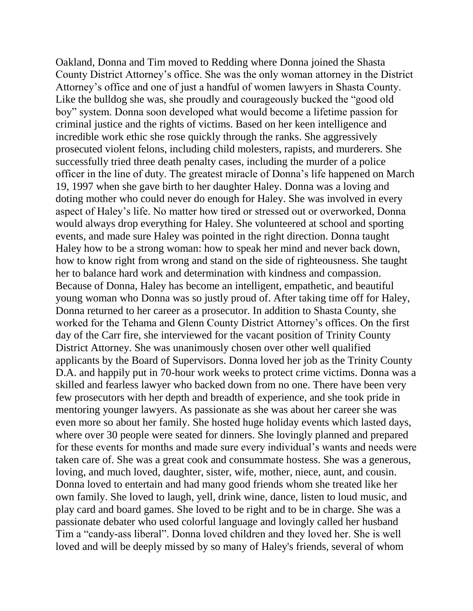Oakland, Donna and Tim moved to Redding where Donna joined the Shasta County District Attorney's office. She was the only woman attorney in the District Attorney's office and one of just a handful of women lawyers in Shasta County. Like the bulldog she was, she proudly and courageously bucked the "good old boy" system. Donna soon developed what would become a lifetime passion for criminal justice and the rights of victims. Based on her keen intelligence and incredible work ethic she rose quickly through the ranks. She aggressively prosecuted violent felons, including child molesters, rapists, and murderers. She successfully tried three death penalty cases, including the murder of a police officer in the line of duty. The greatest miracle of Donna's life happened on March 19, 1997 when she gave birth to her daughter Haley. Donna was a loving and doting mother who could never do enough for Haley. She was involved in every aspect of Haley's life. No matter how tired or stressed out or overworked, Donna would always drop everything for Haley. She volunteered at school and sporting events, and made sure Haley was pointed in the right direction. Donna taught Haley how to be a strong woman: how to speak her mind and never back down, how to know right from wrong and stand on the side of righteousness. She taught her to balance hard work and determination with kindness and compassion. Because of Donna, Haley has become an intelligent, empathetic, and beautiful young woman who Donna was so justly proud of. After taking time off for Haley, Donna returned to her career as a prosecutor. In addition to Shasta County, she worked for the Tehama and Glenn County District Attorney's offices. On the first day of the Carr fire, she interviewed for the vacant position of Trinity County District Attorney. She was unanimously chosen over other well qualified applicants by the Board of Supervisors. Donna loved her job as the Trinity County D.A. and happily put in 70-hour work weeks to protect crime victims. Donna was a skilled and fearless lawyer who backed down from no one. There have been very few prosecutors with her depth and breadth of experience, and she took pride in mentoring younger lawyers. As passionate as she was about her career she was even more so about her family. She hosted huge holiday events which lasted days, where over 30 people were seated for dinners. She lovingly planned and prepared for these events for months and made sure every individual's wants and needs were taken care of. She was a great cook and consummate hostess. She was a generous, loving, and much loved, daughter, sister, wife, mother, niece, aunt, and cousin. Donna loved to entertain and had many good friends whom she treated like her own family. She loved to laugh, yell, drink wine, dance, listen to loud music, and play card and board games. She loved to be right and to be in charge. She was a passionate debater who used colorful language and lovingly called her husband Tim a "candy-ass liberal". Donna loved children and they loved her. She is well loved and will be deeply missed by so many of Haley's friends, several of whom